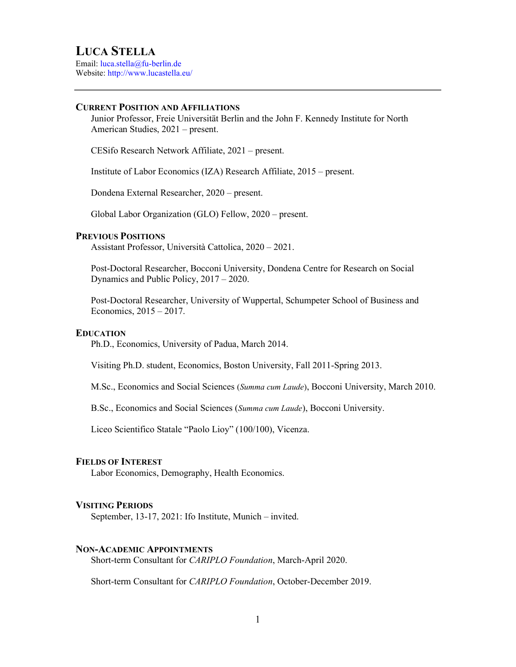Email: luca.stella@fu-berlin.de Website: http://www.lucastella.eu/

# CURRENT POSITION AND AFFILIATIONS

Junior Professor, Freie Universität Berlin and the John F. Kennedy Institute for North American Studies, 2021 – present.

CESifo Research Network Affiliate, 2021 – present.

Institute of Labor Economics (IZA) Research Affiliate, 2015 – present.

Dondena External Researcher, 2020 – present.

Global Labor Organization (GLO) Fellow, 2020 – present.

# PREVIOUS POSITIONS

Assistant Professor, Università Cattolica, 2020 – 2021.

Post-Doctoral Researcher, Bocconi University, Dondena Centre for Research on Social Dynamics and Public Policy, 2017 – 2020.

Post-Doctoral Researcher, University of Wuppertal, Schumpeter School of Business and Economics, 2015 – 2017.

# **EDUCATION**

Ph.D., Economics, University of Padua, March 2014.

Visiting Ph.D. student, Economics, Boston University, Fall 2011-Spring 2013.

M.Sc., Economics and Social Sciences (Summa cum Laude), Bocconi University, March 2010.

B.Sc., Economics and Social Sciences (Summa cum Laude), Bocconi University.

Liceo Scientifico Statale "Paolo Lioy" (100/100), Vicenza.

### FIELDS OF INTEREST

Labor Economics, Demography, Health Economics.

# VISITING PERIODS

September, 13-17, 2021: Ifo Institute, Munich – invited.

# NON-ACADEMIC APPOINTMENTS

Short-term Consultant for CARIPLO Foundation, March-April 2020.

Short-term Consultant for CARIPLO Foundation, October-December 2019.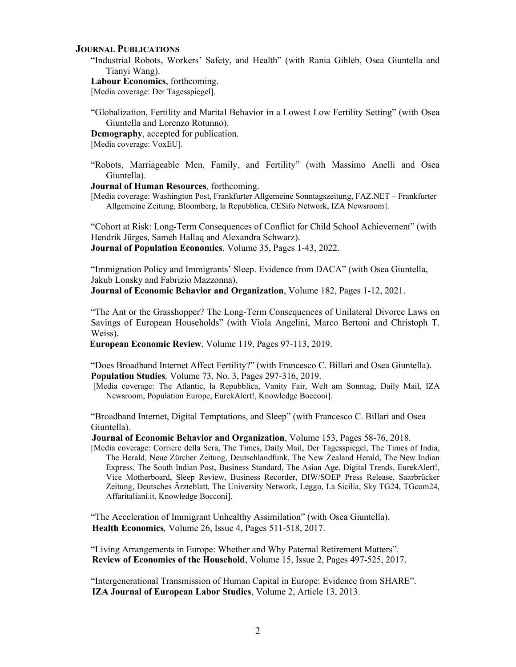#### JOURNAL PUBLICATIONS

"Industrial Robots, Workers' Safety, and Health" (with Rania Gihleb, Osea Giuntella and Tianyi Wang).

Labour Economics, forthcoming.

[Media coverage: Der Tagesspiegel].

"Globalization, Fertility and Marital Behavior in a Lowest Low Fertility Setting" (with Osea Giuntella and Lorenzo Rotunno).

Demography, accepted for publication.

[Media coverage: VoxEU].

"Robots, Marriageable Men, Family, and Fertility" (with Massimo Anelli and Osea Giuntella).

Journal of Human Resources, forthcoming.

[Media coverage: Washington Post, Frankfurter Allgemeine Sonntagszeitung, FAZ.NET – Frankfurter Allgemeine Zeitung, Bloomberg, la Repubblica, CESifo Network, IZA Newsroom].

"Cohort at Risk: Long-Term Consequences of Conflict for Child School Achievement" (with Hendrik Jürges, Sameh Hallaq and Alexandra Schwarz). Journal of Population Economics, Volume 35, Pages 1-43, 2022.

"Immigration Policy and Immigrants' Sleep. Evidence from DACA" (with Osea Giuntella, Jakub Lonsky and Fabrizio Mazzonna).

Journal of Economic Behavior and Organization, Volume 182, Pages 1-12, 2021.

"The Ant or the Grasshopper? The Long-Term Consequences of Unilateral Divorce Laws on Savings of European Households" (with Viola Angelini, Marco Bertoni and Christoph T. Weiss).

European Economic Review, Volume 119, Pages 97-113, 2019.

"Does Broadband Internet Affect Fertility?" (with Francesco C. Billari and Osea Giuntella). Population Studies, Volume 73, No. 3, Pages 297-316, 2019.

[Media coverage: The Atlantic, la Repubblica, Vanity Fair, Welt am Sonntag, Daily Mail, IZA Newsroom, Population Europe, EurekAlert!, Knowledge Bocconi].

"Broadband Internet, Digital Temptations, and Sleep" (with Francesco C. Billari and Osea Giuntella).

Journal of Economic Behavior and Organization, Volume 153, Pages 58-76, 2018.

[Media coverage: Corriere della Sera, The Times, Daily Mail, Der Tagesspiegel, The Times of India, The Herald, Neue Zürcher Zeitung, Deutschlandfunk, The New Zealand Herald, The New Indian Express, The South Indian Post, Business Standard, The Asian Age, Digital Trends, EurekAlert!, Vice Motherboard, Sleep Review, Business Recorder, DIW/SOEP Press Release, Saarbrücker Zeitung, Deutsches Ärzteblatt, The University Network, Leggo, La Sicilia, Sky TG24, TGcom24, Affaritaliani.it, Knowledge Bocconi].

"The Acceleration of Immigrant Unhealthy Assimilation" (with Osea Giuntella). Health Economics, Volume 26, Issue 4, Pages 511-518, 2017.

"Living Arrangements in Europe: Whether and Why Paternal Retirement Matters". Review of Economics of the Household, Volume 15, Issue 2, Pages 497-525, 2017.

"Intergenerational Transmission of Human Capital in Europe: Evidence from SHARE". IZA Journal of European Labor Studies, Volume 2, Article 13, 2013.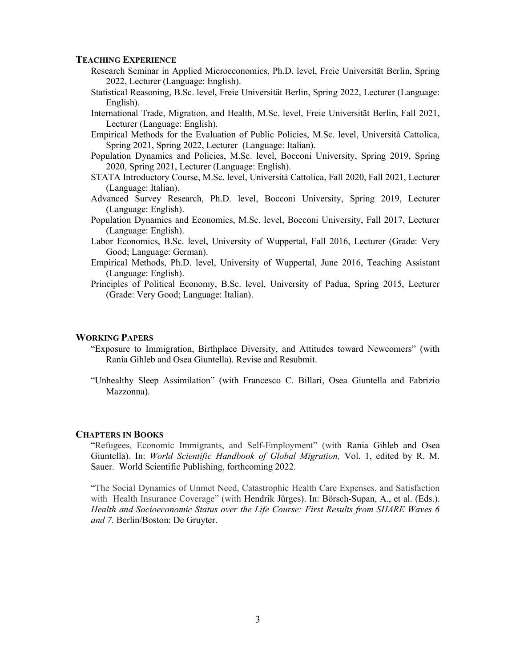# TEACHING EXPERIENCE

- Research Seminar in Applied Microeconomics, Ph.D. level, Freie Universität Berlin, Spring 2022, Lecturer (Language: English).
- Statistical Reasoning, B.Sc. level, Freie Universität Berlin, Spring 2022, Lecturer (Language: English).
- International Trade, Migration, and Health, M.Sc. level, Freie Universität Berlin, Fall 2021, Lecturer (Language: English).
- Empirical Methods for the Evaluation of Public Policies, M.Sc. level, Università Cattolica, Spring 2021, Spring 2022, Lecturer (Language: Italian).
- Population Dynamics and Policies, M.Sc. level, Bocconi University, Spring 2019, Spring 2020, Spring 2021, Lecturer (Language: English).
- STATA Introductory Course, M.Sc. level, Università Cattolica, Fall 2020, Fall 2021, Lecturer (Language: Italian).
- Advanced Survey Research, Ph.D. level, Bocconi University, Spring 2019, Lecturer (Language: English).
- Population Dynamics and Economics, M.Sc. level, Bocconi University, Fall 2017, Lecturer (Language: English).
- Labor Economics, B.Sc. level, University of Wuppertal, Fall 2016, Lecturer (Grade: Very Good; Language: German).
- Empirical Methods, Ph.D. level, University of Wuppertal, June 2016, Teaching Assistant (Language: English).
- Principles of Political Economy, B.Sc. level, University of Padua, Spring 2015, Lecturer (Grade: Very Good; Language: Italian).

### WORKING PAPERS

- "Exposure to Immigration, Birthplace Diversity, and Attitudes toward Newcomers" (with Rania Gihleb and Osea Giuntella). Revise and Resubmit.
- "Unhealthy Sleep Assimilation" (with Francesco C. Billari, Osea Giuntella and Fabrizio Mazzonna).

#### CHAPTERS IN BOOKS

"Refugees, Economic Immigrants, and Self-Employment" (with Rania Gihleb and Osea Giuntella). In: World Scientific Handbook of Global Migration, Vol. 1, edited by R. M. Sauer. World Scientific Publishing, forthcoming 2022.

"The Social Dynamics of Unmet Need, Catastrophic Health Care Expenses, and Satisfaction with Health Insurance Coverage" (with Hendrik Jürges). In: Börsch-Supan, A., et al. (Eds.). Health and Socioeconomic Status over the Life Course: First Results from SHARE Waves 6 and 7. Berlin/Boston: De Gruyter.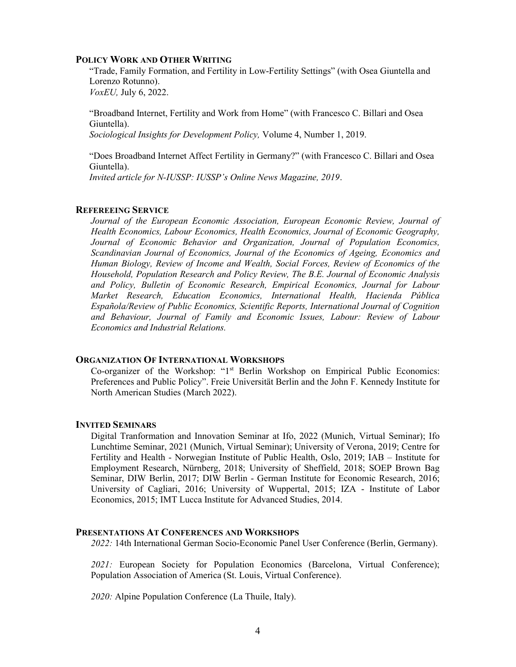## POLICY WORK AND OTHER WRITING

"Trade, Family Formation, and Fertility in Low-Fertility Settings" (with Osea Giuntella and Lorenzo Rotunno). VoxEU, July 6, 2022.

"Broadband Internet, Fertility and Work from Home" (with Francesco C. Billari and Osea Giuntella).

Sociological Insights for Development Policy, Volume 4, Number 1, 2019.

"Does Broadband Internet Affect Fertility in Germany?" (with Francesco C. Billari and Osea Giuntella). Invited article for N-IUSSP: IUSSP's Online News Magazine, 2019.

## REFEREEING SERVICE

Journal of the European Economic Association, European Economic Review, Journal of Health Economics, Labour Economics, Health Economics, Journal of Economic Geography, Journal of Economic Behavior and Organization, Journal of Population Economics, Scandinavian Journal of Economics, Journal of the Economics of Ageing, Economics and Human Biology, Review of Income and Wealth, Social Forces, Review of Economics of the Household, Population Research and Policy Review, The B.E. Journal of Economic Analysis and Policy, Bulletin of Economic Research, Empirical Economics, Journal for Labour Market Research, Education Economics, International Health, Hacienda Pública Española/Review of Public Economics, Scientific Reports, International Journal of Cognition and Behaviour, Journal of Family and Economic Issues, Labour: Review of Labour Economics and Industrial Relations.

### ORGANIZATION OF INTERNATIONAL WORKSHOPS

Co-organizer of the Workshop: "1st Berlin Workshop on Empirical Public Economics: Preferences and Public Policy". Freie Universität Berlin and the John F. Kennedy Institute for North American Studies (March 2022).

#### INVITED SEMINARS

Digital Tranformation and Innovation Seminar at Ifo, 2022 (Munich, Virtual Seminar); Ifo Lunchtime Seminar, 2021 (Munich, Virtual Seminar); University of Verona, 2019; Centre for Fertility and Health - Norwegian Institute of Public Health, Oslo, 2019; IAB – Institute for Employment Research, Nürnberg, 2018; University of Sheffield, 2018; SOEP Brown Bag Seminar, DIW Berlin, 2017; DIW Berlin - German Institute for Economic Research, 2016; University of Cagliari, 2016; University of Wuppertal, 2015; IZA - Institute of Labor Economics, 2015; IMT Lucca Institute for Advanced Studies, 2014.

## PRESENTATIONS AT CONFERENCES AND WORKSHOPS

2022: 14th International German Socio-Economic Panel User Conference (Berlin, Germany).

2021: European Society for Population Economics (Barcelona, Virtual Conference); Population Association of America (St. Louis, Virtual Conference).

2020: Alpine Population Conference (La Thuile, Italy).